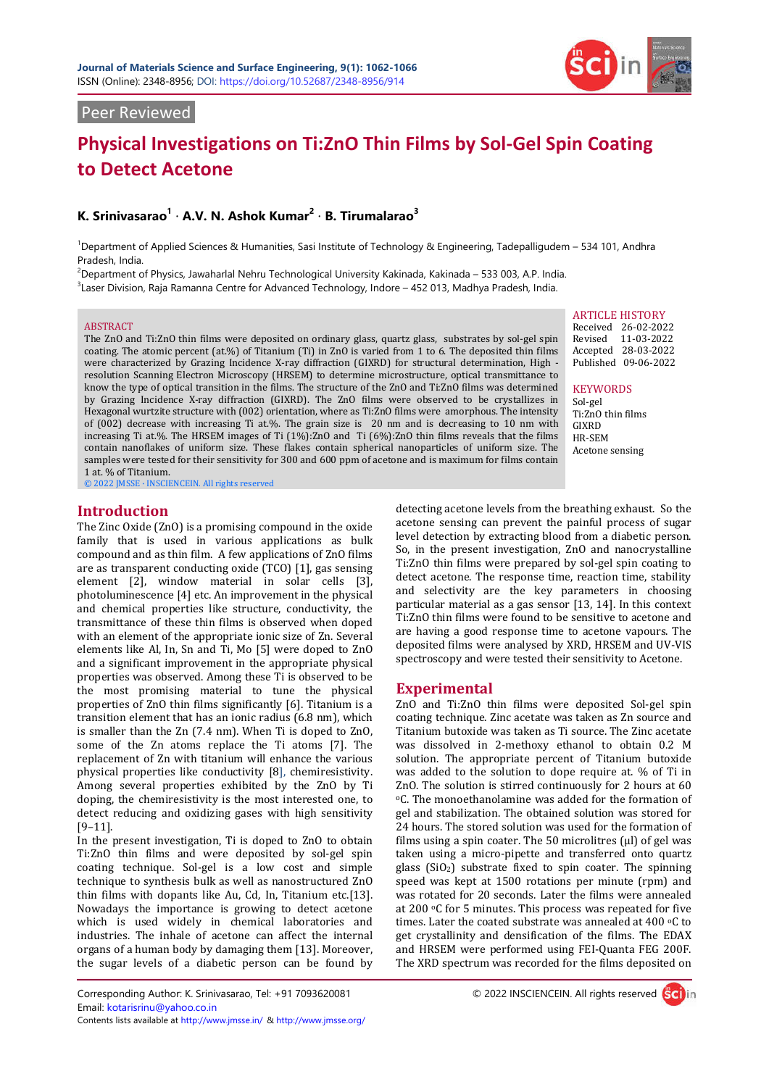

## Peer Reviewed

# **Physical Investigations on Ti:ZnO Thin Films by Sol-Gel Spin Coating to Detect Acetone**

## **K. Srinivasarao<sup>1</sup>** · **A.V. N. Ashok Kumar<sup>2</sup>** · **B. Tirumalarao<sup>3</sup>**

1 Department of Applied Sciences & Humanities, Sasi Institute of Technology & Engineering, Tadepalligudem – 534 101, Andhra Pradesh, India.

2 Department of Physics, Jawaharlal Nehru Technological University Kakinada, Kakinada – 533 003, A.P. India.

3 Laser Division, Raja Ramanna Centre for Advanced Technology, Indore – 452 013, Madhya Pradesh, India.

#### ABSTRACT

The ZnO and Ti:ZnO thin films were deposited on ordinary glass, quartz glass, substrates by sol-gel spin coating. The atomic percent (at.%) of Titanium (Ti) in ZnO is varied from 1 to 6. The deposited thin films were characterized by Grazing Incidence X-ray diffraction (GIXRD) for structural determination, High resolution Scanning Electron Microscopy (HRSEM) to determine microstructure, optical transmittance to know the type of optical transition in the films. The structure of the ZnO and Ti:ZnO films was determined by Grazing Incidence X-ray diffraction (GIXRD). The ZnO films were observed to be crystallizes in Hexagonal wurtzite structure with (002) orientation, where as Ti:ZnO films were amorphous. The intensity of (002) decrease with increasing Ti at.%. The grain size is 20 nm and is decreasing to 10 nm with increasing Ti at.%. The HRSEM images of Ti (1%):ZnO and Ti (6%):ZnO thin films reveals that the films contain nanoflakes of uniform size. These flakes contain spherical nanoparticles of uniform size. The samples were tested for their sensitivity for 300 and 600 ppm of acetone and is maximum for films contain 1 at. % of Titanium.

© 2022 JMSSE · INSCIENCEIN. All rights reserved

## **Introduction**

The Zinc Oxide (ZnO) is a promising compound in the oxide family that is used in various applications as bulk compound and as thin film. A few applications of ZnO films are as transparent conducting oxide (TCO) [1], gas sensing element [2], window material in solar cells [3], photoluminescence [4] etc. An improvement in the physical and chemical properties like structure, conductivity, the transmittance of these thin films is observed when doped with an element of the appropriate ionic size of Zn. Several elements like Al, In, Sn and Ti, Mo [5] were doped to ZnO and a significant improvement in the appropriate physical properties was observed. Among these Ti is observed to be the most promising material to tune the physical properties of ZnO thin films significantly [6]. Titanium is a transition element that has an ionic radius (6.8 nm), which is smaller than the Zn (7.4 nm). When Ti is doped to ZnO, some of the Zn atoms replace the Ti atoms [7]. The replacement of Zn with titanium will enhance the various physical properties like conductivity [8], chemiresistivity. Among several properties exhibited by the ZnO by Ti doping, the chemiresistivity is the most interested one, to detect reducing and oxidizing gases with high sensitivity [9–11].

In the present investigation, Ti is doped to ZnO to obtain Ti:ZnO thin films and were deposited by sol-gel spin coating technique. Sol-gel is a low cost and simple technique to synthesis bulk as well as nanostructured ZnO thin films with dopants like Au, Cd, In, Titanium etc.[13]. Nowadays the importance is growing to detect acetone which is used widely in chemical laboratories and industries. The inhale of acetone can affect the internal organs of a human body by damaging them [13]. Moreover, the sugar levels of a diabetic person can be found by

ARTICLE HISTORY

Received 26-02-2022 Revised 11-03-2022 Accepted 28-03-2022 Published 09-06-2022

**KEYWORDS** 

Sol-gel Ti:ZnO thin films GIXRD HR-SEM Acetone sensing

detecting acetone levels from the breathing exhaust. So the acetone sensing can prevent the painful process of sugar level detection by extracting blood from a diabetic person. So, in the present investigation, ZnO and nanocrystalline Ti:ZnO thin films were prepared by sol-gel spin coating to detect acetone. The response time, reaction time, stability and selectivity are the key parameters in choosing particular material as a gas sensor [13, 14]. In this context Ti:ZnO thin films were found to be sensitive to acetone and are having a good response time to acetone vapours. The deposited films were analysed by XRD, HRSEM and UV-VIS spectroscopy and were tested their sensitivity to Acetone.

## **Experimental**

ZnO and Ti:ZnO thin films were deposited Sol-gel spin coating technique. Zinc acetate was taken as Zn source and Titanium butoxide was taken as Ti source. The Zinc acetate was dissolved in 2-methoxy ethanol to obtain 0.2 M solution. The appropriate percent of Titanium butoxide was added to the solution to dope require at. % of Ti in ZnO. The solution is stirred continuously for 2 hours at 60 oC. The monoethanolamine was added for the formation of gel and stabilization. The obtained solution was stored for 24 hours. The stored solution was used for the formation of films using a spin coater. The 50 microlitres (μl) of gel was taken using a micro-pipette and transferred onto quartz glass  $(SiO<sub>2</sub>)$  substrate fixed to spin coater. The spinning speed was kept at 1500 rotations per minute (rpm) and was rotated for 20 seconds. Later the films were annealed at 200 oC for 5 minutes. This process was repeated for five times. Later the coated substrate was annealed at 400 °C to get crystallinity and densification of the films. The EDAX and HRSEM were performed using FEI-Quanta FEG 200F. The XRD spectrum was recorded for the films deposited on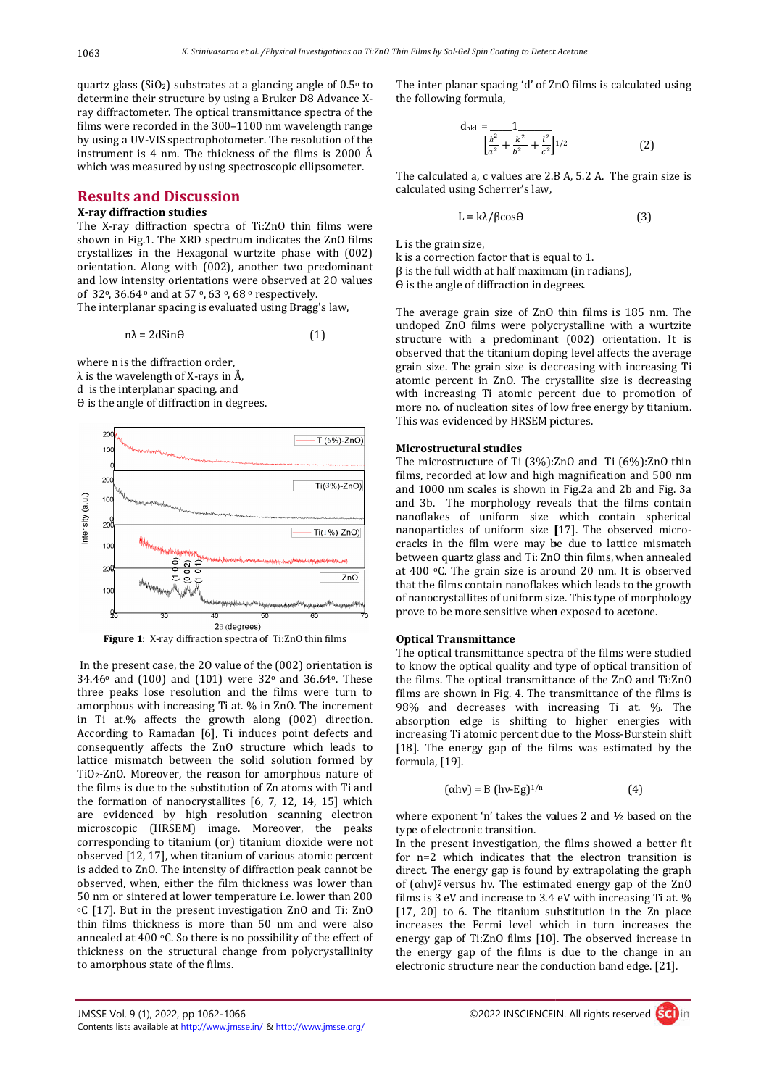quartz glass ( $SiO<sub>2</sub>$ ) substrates at a glancing angle of  $0.5\degree$  to determine their structure by using a Bruker D8 Advance Xray diffractometer. The optical transmittance spectra of the films were recorded in the 300–1100 nm wavelength range by using a UV-VIS spectrophotometer. The resolution of the instrument is 4 nm. The thickness of the films is 2000 Å which was measured by using spectroscopic ellipsometer.

## **Results and Discussion**

## **X-ray diffraction studies**

The X-ray diffraction spectra of Ti:ZnO thin films were shown in Fig.1. The XRD spectrum indicates the ZnO films crystallizes in the Hexagonal wurtzite phase with (002) orientation. Along with (002), another two predominant and low intensity orientations were observed at 20 values of 32°, 36.64° and at 57°, 63°, 68° respectively. g a UV-VIS spectrophotometer. The resolution of the<br>nent is 4 nm. The thickness of the films is 2000 Å<br>was measured by using spectroscopic ellipsometer.<br>**Its and Discussion**<br>**Iffraction studies**<br>ray diffraction spectra of

The interplanar spacing is evaluated using Bragg's law,

$$
n\lambda = 2d\sin\theta \tag{1}
$$

where n is the diffraction order,  $\lambda$  is the wavelength of X-rays in Å, d is the interplanar spacing, and  $\theta$  is the angle of diffraction in degrees.





In the present case, the  $2\theta$  value of the (002) orientation is **Figure 1:** X-ray diffraction spectra of Ti:ZnO thin films<br>In the present case, the 20 value of the (002) orientation is<br> $34.46^{\circ}$  and (100) and (101) were  $32^{\circ}$  and  $36.64^{\circ}$ . These three peaks lose resolution and the films were turn to amorphous with increasing Ti at. % in ZnO. The increment in Ti at.% affects the growth along (002) direction. According to Ramadan [6], Ti induces point defects and consequently affects the ZnO structure which leads to lattice mismatch between the solid solution formed by TiO2-ZnO. Moreover, the reason for amorphous nature of the films is due to the substitution of Zn atoms with Ti and the formation of nanocrystallites [6, 7, 12, 14, 15] which are evidenced by high resolution scanning electron microscopic (HRSEM) image. Moreover, the peaks TiO<sub>2</sub>-ZnO. Moreover, the reason for amorphous nature of<br>the films is due to the substitution of Zn atoms with Ti and<br>the formation of nanocrystallites [6, 7, 12, 14, 15] which<br>are evidenced by high resolution scanning ele observed [12, 17], when titanium of various atomic percent is added to ZnO. The intensity of diffraction peak cannot be observed, when, either the film thickness was lower than 50 nm or sintered at lower temperature i.e. lower than 200 oC [17]. But in the present investigation ZnO and Ti: ZnO thin films thickness is more than 50 nm and were also annealed at 400 °C. So there is no possibility of the effect of thickness on the structural change from polycrystallinity to amorphous state of the films. Constrained to the inter plane is a spacing of the constrained value of ZnO films is calculated using<br>
interior original files to the interior plane is a spacing to 200 films is calculated using<br>
the interior of the inter

the following formula,

$$
d_{hkl} = \frac{1}{\left[\frac{h^2}{a^2} + \frac{k^2}{b^2} + \frac{l^2}{c^2}\right]^{1/2}}
$$
 (2)

The calculated a, c values are 2.8 A, 5.2 A. The grain size is calculated using Scherrer's law,

$$
L = k\lambda / \beta \cos \theta \tag{3}
$$

L is the grain size,

k is a correction factor that is equal to 1.  $β$  is the full width at half maximum (in radians),  $\theta$  is the angle of diffraction in degrees.

The average grain size of ZnO thin films is 185 nm. The undoped ZnO films were polycrystalline with a wurtzite structure with a predominant (002) orientation. It is observed that the titanium doping level affects the average grain size. The grain size is decreasing with increasing Ti atomic percent in ZnO. The crystallite size is decreasing with increasing Ti atomic percent due to promotion of more no. of nucleation sites of low free energy by titanium. This was evidenced by HRSEM pictures. k is a correction factor that is equal to 1.<br>  $\beta$  is the full width at half maximum (in radians),<br>  $\theta$  is the angle of diffraction in degrees.<br>
The average grain size of ZnO thin films is 185 nm. The<br>
undoped ZnO films is increasing Ti crystallite size is decreasing Ti<br>ic percent in ZnO. The crystallite size is decreasing<br>increasing Ti atomic percent due to promotion of<br>e no. of nucleation sites of low free energy by titanium.<br>was eviden

#### **Microstructural studies**

The microstructure of Ti (3%):ZnO and Ti (6%):ZnO thin films, recorded at low and high magnification and 500 nm and 1000 nm scales is shown in Fig.2a and 2b and Fig. 3a and 3b. The morphology reveals that the films contain nanoflakes of uniform size which contain spherical nanoflakes of uniform size which contain spherical<br>nanoparticles of uniform size [17]. The observed microcracks in the film were may be due to lattice mismatch between quartz glass and Ti: ZnO thin films, when annealed at 400 oC. The grain size is around 20 nm. It is observed that the films contain nanoflakes which leads to the growth of nanocrystallites of uniform size. prove to be more sensitive when exposed to acetone. inter planar spacing of of Zn0 films is calculated using<br>
interplanar spacing of of Zn0 films is calculated using<br>  $\frac{du}{dt} = \frac{1}{t^2 + \frac{1}{t^2}}$  (2)<br>  $\left[\frac{1}{a^2} + \frac{1}{b^2} + \frac{1}{c^2}\right]^{1/2}$  (2)<br>
calculated a, c values are ilm were may be due to lattice mismatch<br>glass and Ti: ZnO thin films, when annealed<br>grain size is around 20 nm. It is observed<br>ontain nanoflakes which leads to the growth<br>tes of uniform size. This type of morphology

#### **Optical Transmittance**

The optical transmittance spectra of the films were studied to know the optical quality and type of optical transition of the films. The optical transmittance of the ZnO and Ti:ZnO films are shown in Fig. 4. The transmittance of the films is 98% and decreases with increasing Ti at. %. The absorption edge is shifting to higher energies with absorption edge is shifting to higher energies with increasing Tiatomic percent due to the Moss-Burstein shift [18]. The energy gap of the films was estimated by the formula, [19].<br>  $(\alpha h v) = B (h v-Eg)^{1/n}$  (4) formula, [19]. e optical transmittance spectra of the films were studied know the optical quality and type of optical transition of  $e$  films. The optical transmittance of the ZnO and Ti:ZnO ms are shown in Fig. 4. The transmittance of t

$$
(\alpha h v) = B (h v - Eg)^{1/n}
$$
 (4)

where exponent 'n' takes the values 2 and ½ based on the type of electronic transition. where exponent 'n' takes the values 2 and  $\frac{1}{2}$  based on the type of electronic transition.<br>In the present investigation, the films showed a better fit

for n=2 which indicates that the electron transition is for n=2 which indicates that the electron transition is direct. The energy gap is found by extrapolating the graph of  $(\alpha h\nu)^2$  versus hv. The estimated energy gap of the ZnO films is 3 eV and increase to 3.4 eV with increasing Ti at. % [17, 20] to 6. The titanium substitution in the Zn place increases the Fermi level which in turn increases the energy gap of Ti:ZnO films [10]. The observed increase in the energy gap of the films is due to the change in an electronic structure near the conduction band edge. [21]. ( $\alpha$ hv)<sup>2</sup> versus hv. The estimated energy gap of the ZnO ms is 3 eV and increase to 3.4 eV with increasing Ti at. % 7, 20] to 6. The titanium substitution in the Zn place creases the Fermi level which in turn increases

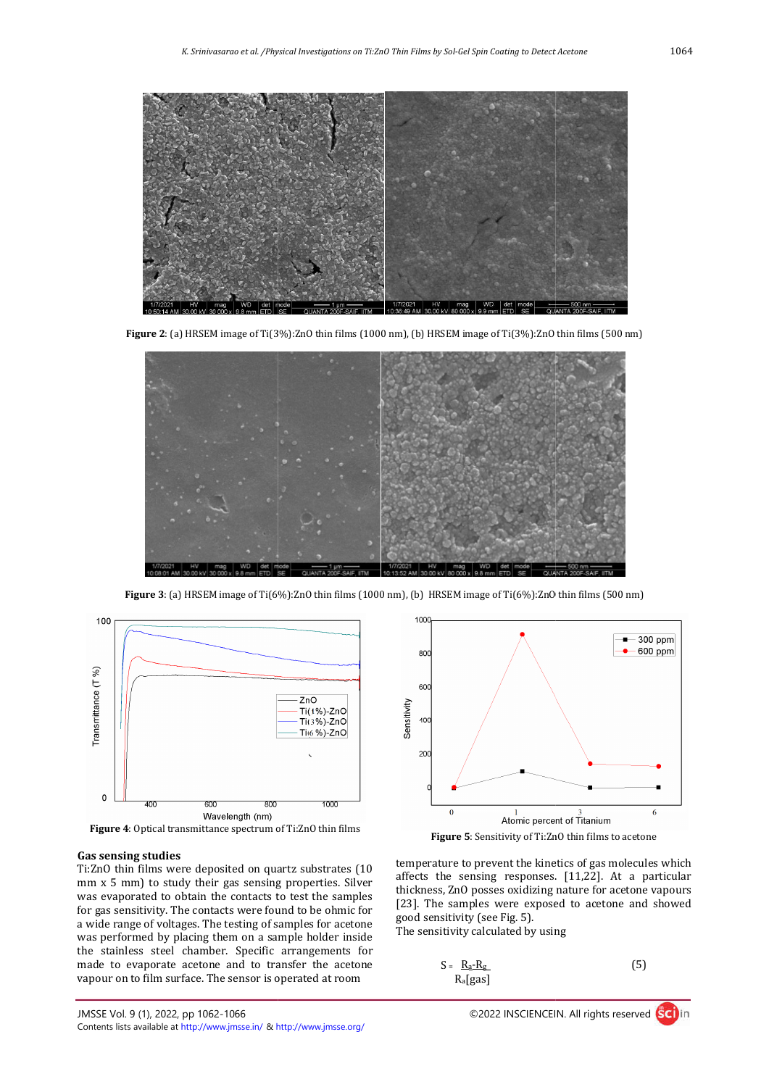

**Figure 2**: (a) HRSEM image of Ti(3%):ZnO thin films (1000 nm), (b) HRSEM image of Ti(3%):ZnO thin films (500 nm)



**Figure 3**: (a) HRSEM image of Ti(6%):ZnO thin films (1000 nm), (b) HRSEM image of Ti(6%):ZnO thin films (500 nm)



Figure 4: Optical transmittance spectrum of Ti:ZnO thin films

## **Gas sensing studies**

Ti:ZnO thin films were deposited on quartz substrates (10 mm x 5 mm) to study their gas sensing properties. Silver was evaporated to obtain the contacts to test the samples for gas sensitivity. The contacts were found to be ohmic for a wide range of voltages. The testing of samples for acetone was performed by placing them on a sample holder inside the stainless steel chamber. Specific arrangements for made to evaporate acetone and to transfer the acetone vapour on to film surface. The sensor is operated at room





temperature to prevent the kinetics of gas molecules which affects the sensing responses. [11,22]. At a particular thickness, ZnO posses oxidizing nature for acetone vapours [23]. The samples were exposed to acetone and showed good sensitivity (see Fig. 5).

The sensitivity calculated by using

$$
S = \frac{R_a - R_g}{R_a [gas]}
$$
 (5)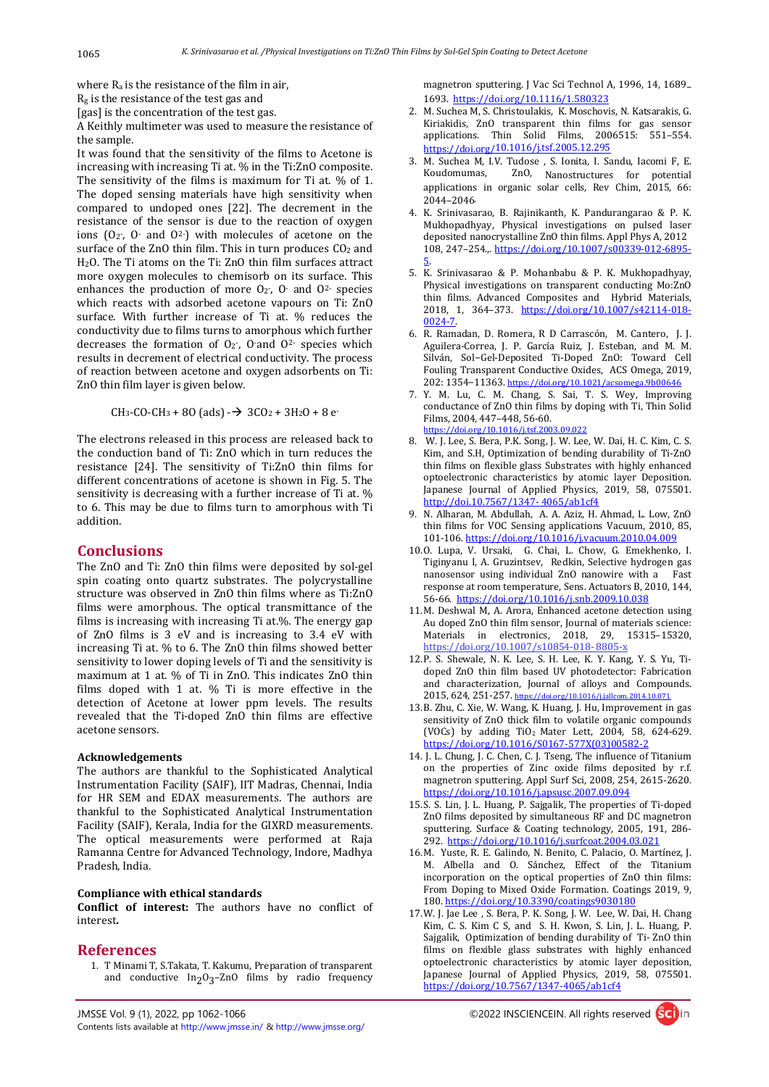where Ra is the resistance of the film in air,

 $R_g$  is the resistance of the test gas and

[gas] is the concentration of the test gas.

A Keithly multimeter was used to measure the resistance of the sample.

It was found that the sensitivity of the films to Acetone is increasing with increasing Ti at. % in the Ti:ZnO composite. The sensitivity of the films is maximum for Ti at. % of 1. The doped sensing materials have high sensitivity when compared to undoped ones [22]. The decrement in the resistance of the sensor is due to the reaction of oxygen ions  $(0_2, 0_1, 0_2)$  with molecules of acetone on the surface of the ZnO thin film. This in turn produces CO<sub>2</sub> and H2O. The Ti atoms on the Ti: ZnO thin film surfaces attract more oxygen molecules to chemisorb on its surface. This enhances the production of more  $O_2$ ,  $O_1$  and  $O_2$  species which reacts with adsorbed acetone vapours on Ti: ZnO surface. With further increase of Ti at. % reduces the conductivity due to films turns to amorphous which further decreases the formation of  $O_2$ -, O-and  $O_2$ - species which results in decrement of electrical conductivity. The process of reaction between acetone and oxygen adsorbents on Ti: ZnO thin film layer is given below.

 $CH_3-CO-CH_3 + 8O$  (ads)  $\rightarrow$  3CO<sub>2</sub> + 3H<sub>2</sub>O + 8 e-

The electrons released in this process are released back to the conduction band of Ti: ZnO which in turn reduces the resistance [24]. The sensitivity of Ti:ZnO thin films for different concentrations of acetone is shown in Fig. 5. The sensitivity is decreasing with a further increase of Ti at. % to 6. This may be due to films turn to amorphous with Ti addition.

## **Conclusions**

The ZnO and Ti: ZnO thin films were deposited by sol-gel spin coating onto quartz substrates. The polycrystalline structure was observed in ZnO thin films where as Ti:ZnO films were amorphous. The optical transmittance of the films is increasing with increasing Ti at.%. The energy gap of ZnO films is 3 eV and is increasing to 3.4 eV with increasing Ti at. % to 6. The ZnO thin films showed better sensitivity to lower doping levels of Ti and the sensitivity is maximum at 1 at. % of Ti in ZnO. This indicates ZnO thin films doped with 1 at. % Ti is more effective in the detection of Acetone at lower ppm levels. The results revealed that the Ti-doped ZnO thin films are effective acetone sensors.

#### **Acknowledgements**

The authors are thankful to the Sophisticated Analytical Instrumentation Facility (SAIF), IIT Madras, Chennai, India for HR SEM and EDAX measurements. The authors are thankful to the Sophisticated Analytical Instrumentation Facility (SAIF), Kerala, India for the GIXRD measurements. The optical measurements were performed at Raja Ramanna Centre for Advanced Technology, Indore, Madhya Pradesh, India.

#### **Compliance with ethical standards**

**Conflict of interest:** The authors have no conflict of interest**.**

## **References**

1. T Minami T, S.Takata, T. Kakumu, Preparation of transparent and conductive  $In_2O_3$ -ZnO films by radio frequency

magnetron sputtering. J Vac Sci Technol A, 1996, 14, 1689– 1693. https://doi.org/10.1116/1.580323

- 2. M. Suchea M, S. Christoulakis, K. Moschovis, N. Katsarakis, G. Kiriakidis, ZnO transparent thin films for gas sensor applications. Thin Solid Films, 2006515: 551–554. https://doi.org/10.1016/j.tsf.2005.12.295
- 3. M. Suchea M, I.V. Tudose , S. Ionita, I. Sandu, Iacomi F, E. Koudomumas, ZnO, Nanostructures for potential applications in organic solar cells, Rev Chim, 2015, 66: 2044–2046.
- 4. K. Srinivasarao, B. Rajinikanth, K. Pandurangarao & P. K. Mukhopadhyay, Physical investigations on pulsed laser deposited nanocrystalline ZnO thin films. Appl Phys A, 2012 108, 247–254.,. https://doi.org/10.1007/s00339-012-6895- 5.
- 5. K. Srinivasarao & P. Mohanbabu & P. K. Mukhopadhyay, Physical investigations on transparent conducting Mo:ZnO thin films. Advanced Composites and Hybrid Materials, 2018, 1, 364–373. https://doi.org/10.1007/s42114-018- 0024-7.
- 6. R. Ramadan, D. Romera, R D Carrascón, M. Cantero, J. J. Aguilera-Correa, J. P. García Ruiz, J. Esteban, and M. M. Silván, Sol−Gel-Deposited Ti-Doped ZnO: Toward Cell Fouling Transparent Conductive Oxides, ACS Omega, 2019, 202: 1354−11363. https://doi.org/10.1021/acsomega.9b00646
- 7. Y. M. Lu, C. M. Chang, S. Sai, T. S. Wey, Improving conductance of ZnO thin films by doping with Ti, Thin Solid Films, 2004, 447–448, 56-60. https://doi.org/10.1016/j.tsf.2003.09.022
- 8. W. J. Lee, S. Bera, P.K. Song, J. W. Lee, W. Dai, H. C. Kim, C. S. Kim, and S.H, Optimization of bending durability of Ti-ZnO thin films on flexible glass Substrates with highly enhanced optoelectronic characteristics by atomic layer Deposition. Japanese Journal of Applied Physics, 2019, 58, 075501. http://doi.10.7567/1347- 4065/ab1cf4
- 9. N. Alharan, M. Abdullah, A. A. Aziz, H. Ahmad, L. Low, ZnO thin films for VOC Sensing applications Vacuum, 2010, 85, 101-106. https://doi.org/10.1016/j.vacuum.2010.04.009
- 10.O. Lupa, V. Ursaki, G. Chai, L. Chow, G. Emekhenko, I. Tiginyanu I, A. Gruzintsev, Redkin, Selective hydrogen gas nanosensor using individual ZnO nanowire with a Fast response at room temperature, Sens. Actuators B, 2010, 144, 56-66. https://doi.org/10.1016/j.snb.2009.10.038
- 11.M. Deshwal M, A. Arora, Enhanced acetone detection using Au doped ZnO thin film sensor, Journal of materials science: Materials in electronics, 2018, 29, 15315–15320, https://doi.org/10.1007/s10854-018- 8805-x
- 12.P. S. Shewale, N. K. Lee, S. H. Lee, K. Y. Kang, Y. S. Yu, Tidoped ZnO thin film based UV photodetector: Fabrication and characterization, Journal of alloys and Compounds. 2015, 624, 251-257. https://doi.org/10.1016/j.jallcom.2014.10.07
- 13.B. Zhu, C. Xie, W. Wang, K. Huang, J. Hu, Improvement in gas sensitivity of ZnO thick film to volatile organic compounds (VOCs) by adding TiO2 Mater Lett, 2004, 58, 624-629. https://doi.org/10.1016/S0167-577X(03)00582-2
- 14. J. L. Chung, J. C. Chen, C. J. Tseng, The influence of Titanium on the properties of Zinc oxide films deposited by r.f. magnetron sputtering. Appl Surf Sci, 2008, 254, 2615-2620. https://doi.org/10.1016/j.apsusc.2007.09.094
- 15.S. S. Lin, J. L. Huang, P. Sajgalik, The properties of Ti-doped ZnO films deposited by simultaneous RF and DC magnetron sputtering. Surface & Coating technology, 2005, 191, 286- 292. https://doi.org/10.1016/j.surfcoat.2004.03.021
- 16.M. Yuste, R. E. Galindo, N. Benito, C. Palacio, O. Martínez, J. M. Albella and O. Sánchez, Effect of the Titanium incorporation on the optical properties of ZnO thin films: From Doping to Mixed Oxide Formation. Coatings 2019, 9, 180. https://doi.org/10.3390/coatings9030180
- 17.W. J. Jae Lee , S. Bera, P. K. Song, J. W. Lee, W. Dai, H. Chang Kim, C. S. Kim C S, and S. H. Kwon, S. Lin, J. L. Huang, P. Sajgalik, Optimization of bending durability of Ti- ZnO thin films on flexible glass substrates with highly enhanced optoelectronic characteristics by atomic layer deposition, Japanese Journal of Applied Physics, 2019, 58, 075501. https://doi.org/10.7567/1347-4065/ab1cf4